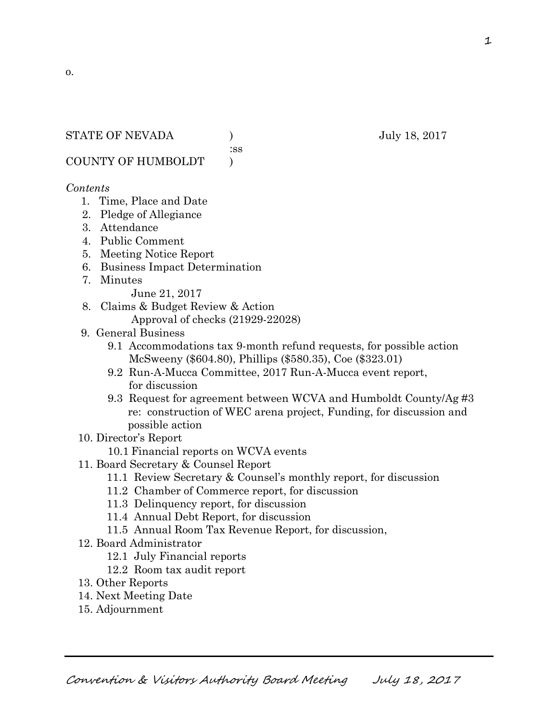#### STATE OF NEVADA ) July 18, 2017

:ss

COUNTY OF HUMBOLDT )

#### *Contents*

- 1. Time, Place and Date
- 2. Pledge of Allegiance
- 3. Attendance
- 4. Public Comment
- 5. Meeting Notice Report
- 6. Business Impact Determination
- 7. Minutes

June 21, 2017

- 8. Claims & Budget Review & Action
	- Approval of checks (21929-22028)
- 9. General Business
	- 9.1 Accommodations tax 9-month refund requests, for possible action McSweeny (\$604.80), Phillips (\$580.35), Coe (\$323.01)
	- 9.2 Run-A-Mucca Committee, 2017 Run-A-Mucca event report, for discussion
	- 9.3 Request for agreement between WCVA and Humboldt County/Ag #3 re: construction of WEC arena project, Funding, for discussion and possible action
- 10. Director's Report
	- 10.1 Financial reports on WCVA events
- 11. Board Secretary & Counsel Report
	- 11.1 Review Secretary & Counsel's monthly report, for discussion
	- 11.2 Chamber of Commerce report, for discussion
	- 11.3 Delinquency report, for discussion
	- 11.4 Annual Debt Report, for discussion
	- 11.5 Annual Room Tax Revenue Report, for discussion,
- 12. Board Administrator
	- 12.1 July Financial reports
	- 12.2 Room tax audit report
- 13. Other Reports
- 14. Next Meeting Date
- 15. Adjournment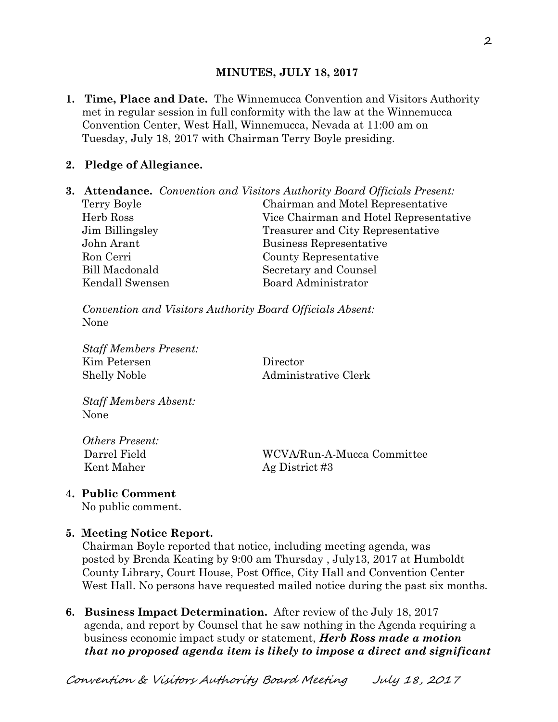### **MINUTES, JULY 18, 2017**

**1. Time, Place and Date.** The Winnemucca Convention and Visitors Authority met in regular session in full conformity with the law at the Winnemucca Convention Center, West Hall, Winnemucca, Nevada at 11:00 am on Tuesday, July 18, 2017 with Chairman Terry Boyle presiding.

### **2. Pledge of Allegiance.**

**3. Attendance.** *Convention and Visitors Authority Board Officials Present:*  Terry Boyle Chairman and Motel Representative Herb Ross Vice Chairman and Hotel Representative Jim Billingsley Treasurer and City Representative John Arant Business Representative Ron Cerri County Representative Bill Macdonald Secretary and Counsel Kendall Swensen Board Administrator

*Convention and Visitors Authority Board Officials Absent:*  None

*Staff Members Present:*  Kim Petersen Director Shelly Noble Administrative Clerk

*Staff Members Absent:*  None

*Others Present:*  Kent Maher Ag District #3

Darrel Field WCVA/Run-A-Mucca Committee

**4. Public Comment** 

No public comment.

#### **5. Meeting Notice Report.**

Chairman Boyle reported that notice, including meeting agenda, was posted by Brenda Keating by 9:00 am Thursday , July13, 2017 at Humboldt County Library, Court House, Post Office, City Hall and Convention Center West Hall. No persons have requested mailed notice during the past six months.

**6. Business Impact Determination.** After review of the July 18, 2017 agenda, and report by Counsel that he saw nothing in the Agenda requiring a business economic impact study or statement, *Herb Ross made a motion that no proposed agenda item is likely to impose a direct and significant*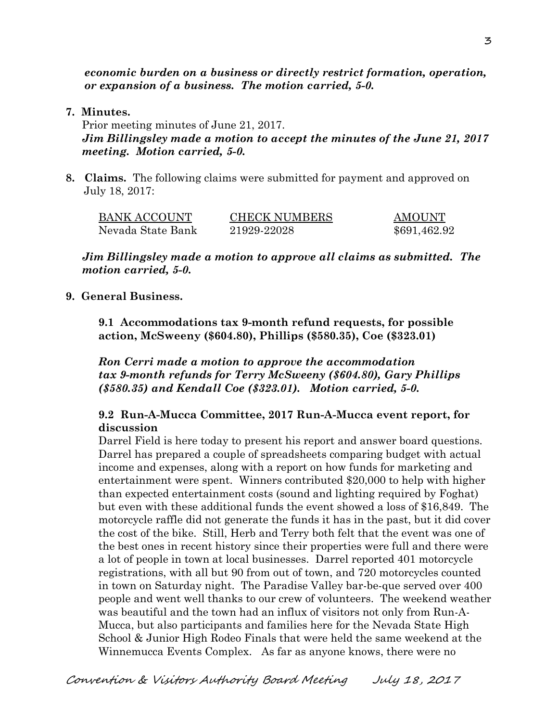*economic burden on a business or directly restrict formation, operation, or expansion of a business. The motion carried, 5-0.* 

**7. Minutes.** 

Prior meeting minutes of June 21, 2017. *Jim Billingsley made a motion to accept the minutes of the June 21, 2017 meeting. Motion carried, 5-0.* 

**8. Claims.** The following claims were submitted for payment and approved on July 18, 2017:

| <b>BANK ACCOUNT</b> | <b>CHECK NUMBERS</b> | <b>AMOUNT</b> |
|---------------------|----------------------|---------------|
| Nevada State Bank   | 21929-22028          | \$691,462.92  |

*Jim Billingsley made a motion to approve all claims as submitted. The motion carried, 5-0.* 

**9. General Business.** 

**9.1 Accommodations tax 9-month refund requests, for possible action, McSweeny (\$604.80), Phillips (\$580.35), Coe (\$323.01)** 

*Ron Cerri made a motion to approve the accommodation tax 9-month refunds for Terry McSweeny (\$604.80), Gary Phillips (\$580.35) and Kendall Coe (\$323.01). Motion carried, 5-0.* 

#### **9.2 Run-A-Mucca Committee, 2017 Run-A-Mucca event report, for discussion**

Darrel Field is here today to present his report and answer board questions. Darrel has prepared a couple of spreadsheets comparing budget with actual income and expenses, along with a report on how funds for marketing and entertainment were spent. Winners contributed \$20,000 to help with higher than expected entertainment costs (sound and lighting required by Foghat) but even with these additional funds the event showed a loss of \$16,849. The motorcycle raffle did not generate the funds it has in the past, but it did cover the cost of the bike. Still, Herb and Terry both felt that the event was one of the best ones in recent history since their properties were full and there were a lot of people in town at local businesses. Darrel reported 401 motorcycle registrations, with all but 90 from out of town, and 720 motorcycles counted in town on Saturday night. The Paradise Valley bar-be-que served over 400 people and went well thanks to our crew of volunteers. The weekend weather was beautiful and the town had an influx of visitors not only from Run-A-Mucca, but also participants and families here for the Nevada State High School & Junior High Rodeo Finals that were held the same weekend at the Winnemucca Events Complex. As far as anyone knows, there were no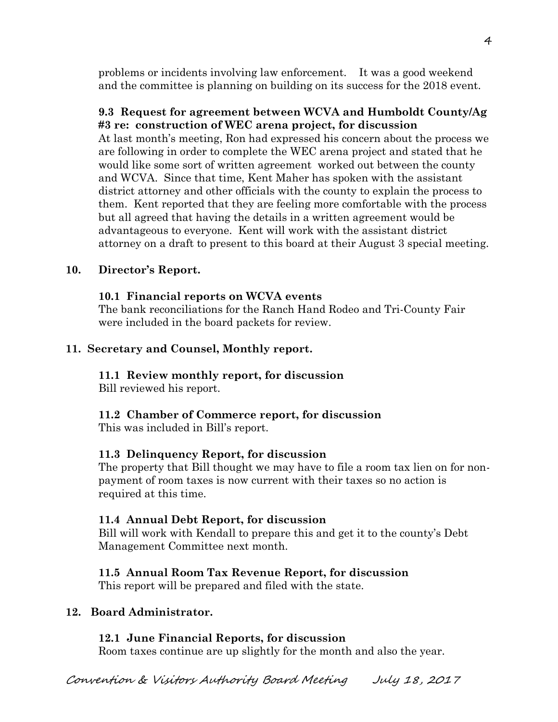problems or incidents involving law enforcement. It was a good weekend and the committee is planning on building on its success for the 2018 event.

# **9.3 Request for agreement between WCVA and Humboldt County/Ag #3 re: construction of WEC arena project, for discussion**

At last month's meeting, Ron had expressed his concern about the process we are following in order to complete the WEC arena project and stated that he would like some sort of written agreement worked out between the county and WCVA. Since that time, Kent Maher has spoken with the assistant district attorney and other officials with the county to explain the process to them. Kent reported that they are feeling more comfortable with the process but all agreed that having the details in a written agreement would be advantageous to everyone. Kent will work with the assistant district attorney on a draft to present to this board at their August 3 special meeting.

# **10. Director's Report.**

## **10.1 Financial reports on WCVA events**

The bank reconciliations for the Ranch Hand Rodeo and Tri-County Fair were included in the board packets for review.

## **11. Secretary and Counsel, Monthly report.**

# **11.1 Review monthly report, for discussion**

Bill reviewed his report.

## **11.2 Chamber of Commerce report, for discussion**

This was included in Bill's report.

## **11.3 Delinquency Report, for discussion**

The property that Bill thought we may have to file a room tax lien on for non payment of room taxes is now current with their taxes so no action is required at this time.

### **11.4 Annual Debt Report, for discussion**

Bill will work with Kendall to prepare this and get it to the county's Debt Management Committee next month.

## **11.5 Annual Room Tax Revenue Report, for discussion**

This report will be prepared and filed with the state.

## **12. Board Administrator.**

## **12.1 June Financial Reports, for discussion**

Room taxes continue are up slightly for the month and also the year.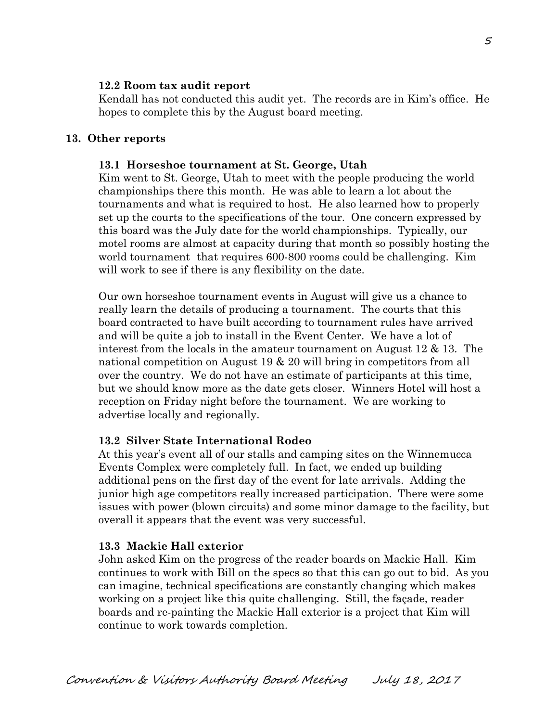#### **12.2 Room tax audit report**

Kendall has not conducted this audit yet. The records are in Kim's office. He hopes to complete this by the August board meeting.

#### **13. Other reports**

#### **13.1 Horseshoe tournament at St. George, Utah**

Kim went to St. George, Utah to meet with the people producing the world championships there this month. He was able to learn a lot about the tournaments and what is required to host. He also learned how to properly set up the courts to the specifications of the tour. One concern expressed by this board was the July date for the world championships. Typically, our motel rooms are almost at capacity during that month so possibly hosting the world tournament that requires 600-800 rooms could be challenging. Kim will work to see if there is any flexibility on the date.

Our own horseshoe tournament events in August will give us a chance to really learn the details of producing a tournament. The courts that this board contracted to have built according to tournament rules have arrived and will be quite a job to install in the Event Center. We have a lot of interest from the locals in the amateur tournament on August  $12 \& 13$ . The national competition on August 19 & 20 will bring in competitors from all over the country. We do not have an estimate of participants at this time, but we should know more as the date gets closer. Winners Hotel will host a reception on Friday night before the tournament. We are working to advertise locally and regionally.

### **13.2 Silver State International Rodeo**

At this year's event all of our stalls and camping sites on the Winnemucca Events Complex were completely full. In fact, we ended up building additional pens on the first day of the event for late arrivals. Adding the junior high age competitors really increased participation. There were some issues with power (blown circuits) and some minor damage to the facility, but overall it appears that the event was very successful.

### **13.3 Mackie Hall exterior**

John asked Kim on the progress of the reader boards on Mackie Hall. Kim continues to work with Bill on the specs so that this can go out to bid. As you can imagine, technical specifications are constantly changing which makes working on a project like this quite challenging. Still, the façade, reader boards and re-painting the Mackie Hall exterior is a project that Kim will continue to work towards completion.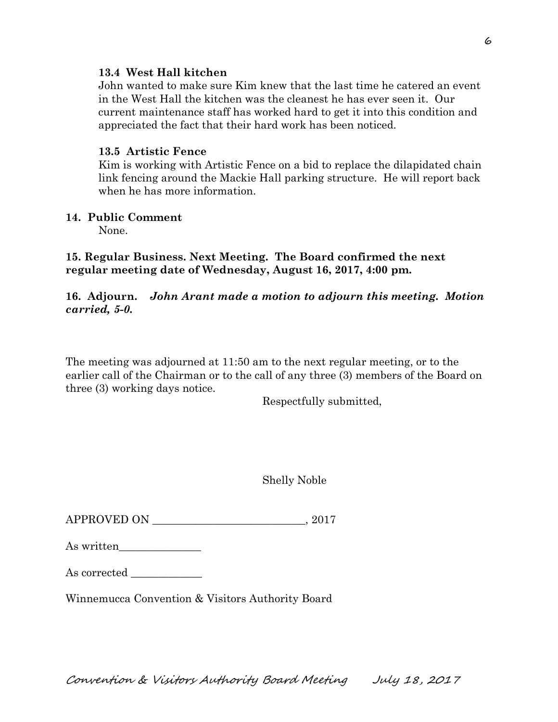#### **13.4 West Hall kitchen**

John wanted to make sure Kim knew that the last time he catered an event in the West Hall the kitchen was the cleanest he has ever seen it. Our current maintenance staff has worked hard to get it into this condition and appreciated the fact that their hard work has been noticed.

### **13.5 Artistic Fence**

Kim is working with Artistic Fence on a bid to replace the dilapidated chain link fencing around the Mackie Hall parking structure. He will report back when he has more information.

#### **14. Public Comment**

None.

### **15. Regular Business. Next Meeting. The Board confirmed the next regular meeting date of Wednesday, August 16, 2017, 4:00 pm.**

### **16. Adjourn.** *John Arant made a motion to adjourn this meeting. Motion carried, 5-0.*

The meeting was adjourned at 11:50 am to the next regular meeting, or to the earlier call of the Chairman or to the call of any three (3) members of the Board on three (3) working days notice.

Respectfully submitted,

Shelly Noble

APPROVED ON \_\_\_\_\_\_\_\_\_\_\_\_\_\_\_\_\_\_\_\_\_\_\_\_\_\_\_\_, 2017

As corrected

Winnemucca Convention & Visitors Authority Board